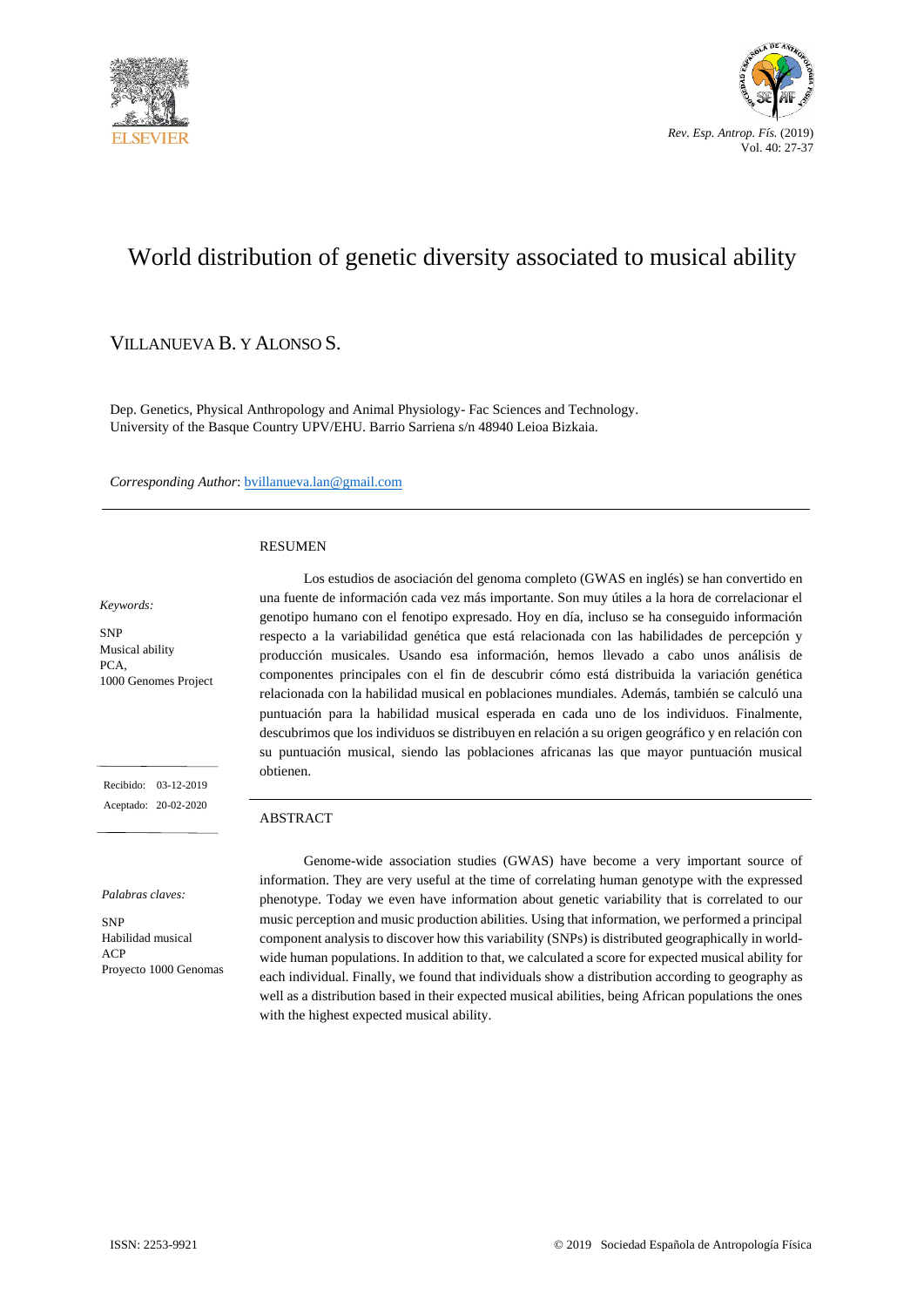



# World distribution of genetic diversity associated to musical ability

### VILLANUEVA B. Y ALONSO S.

Dep. Genetics, Physical Anthropology and Animal Physiology- Fac Sciences and Technology. University of the Basque Country UPV/EHU. Barrio Sarriena s/n 48940 Leioa Bizkaia.

*Corresponding Author*: bvillanueva.lan@gmail.com

#### RESUMEN

#### *Keywords:*

SNP Musical ability PCA, 1000 Genomes Project

 Recibido: 03-12-2019 Aceptado: 20-02-2020

*Palabras claves:*

**SND** Habilidad musical ACP Proyecto 1000 Genomas

Los estudios de asociación del genoma completo (GWAS en inglés) se han convertido en una fuente de información cada vez más importante. Son muy útiles a la hora de correlacionar el genotipo humano con el fenotipo expresado. Hoy en día, incluso se ha conseguido información respecto a la variabilidad genética que está relacionada con las habilidades de percepción y producción musicales. Usando esa información, hemos llevado a cabo unos análisis de componentes principales con el fin de descubrir cómo está distribuida la variación genética relacionada con la habilidad musical en poblaciones mundiales. Además, también se calculó una puntuación para la habilidad musical esperada en cada uno de los individuos. Finalmente, descubrimos que los individuos se distribuyen en relación a su origen geográfico y en relación con su puntuación musical, siendo las poblaciones africanas las que mayor puntuación musical obtienen.

#### ABSTRACT

Genome-wide association studies (GWAS) have become a very important source of information. They are very useful at the time of correlating human genotype with the expressed phenotype. Today we even have information about genetic variability that is correlated to our music perception and music production abilities. Using that information, we performed a principal component analysis to discover how this variability (SNPs) is distributed geographically in worldwide human populations. In addition to that, we calculated a score for expected musical ability for each individual. Finally, we found that individuals show a distribution according to geography as well as a distribution based in their expected musical abilities, being African populations the ones with the highest expected musical ability.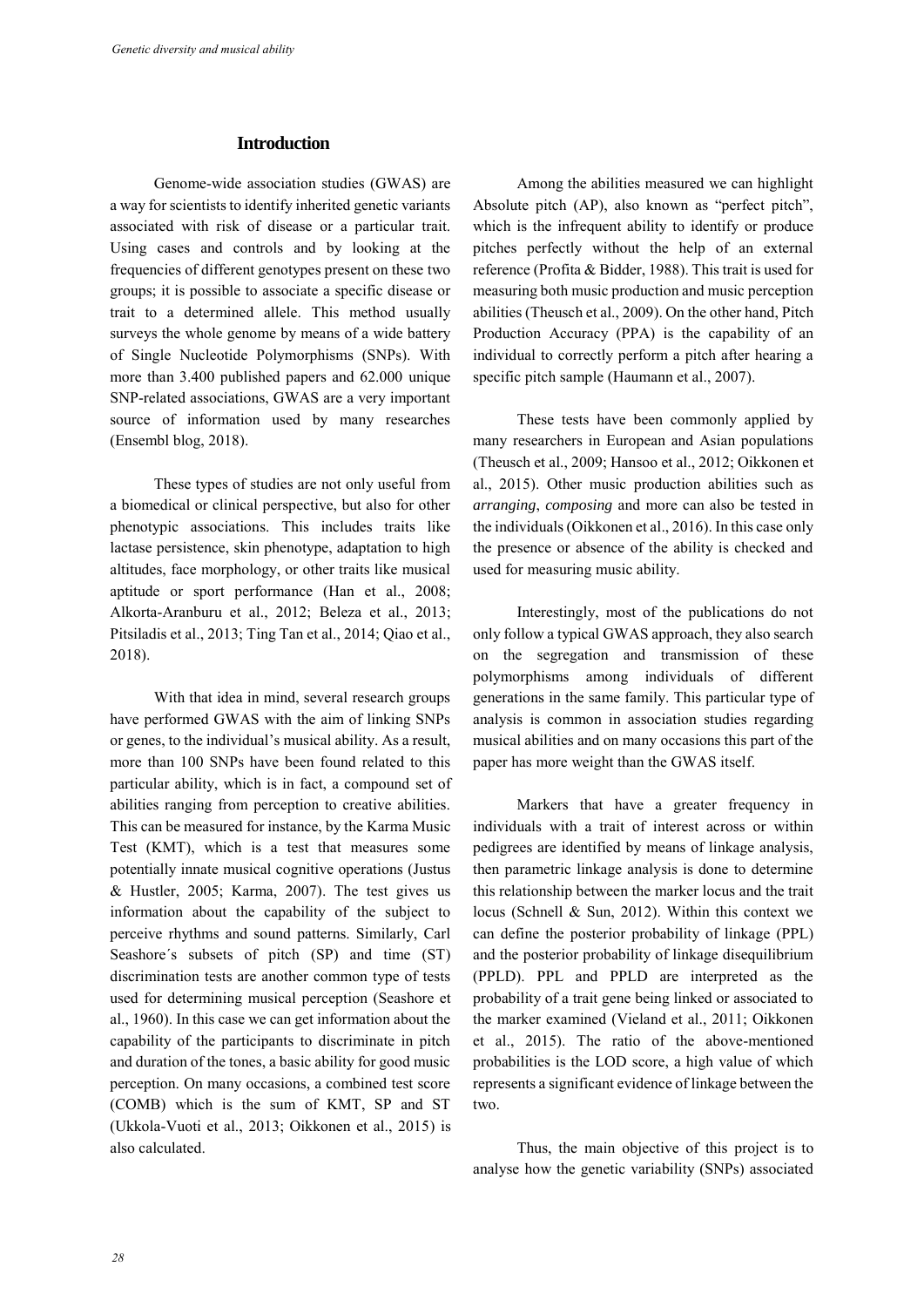### **Introduction**

Genome-wide association studies (GWAS) are a way for scientists to identify inherited genetic variants associated with risk of disease or a particular trait. Using cases and controls and by looking at the frequencies of different genotypes present on these two groups; it is possible to associate a specific disease or trait to a determined allele. This method usually surveys the whole genome by means of a wide battery of Single Nucleotide Polymorphisms (SNPs). With more than 3.400 published papers and 62.000 unique SNP-related associations, GWAS are a very important source of information used by many researches (Ensembl blog, 2018).

These types of studies are not only useful from a biomedical or clinical perspective, but also for other phenotypic associations. This includes traits like lactase persistence, skin phenotype, adaptation to high altitudes, face morphology, or other traits like musical aptitude or sport performance (Han et al., 2008; Alkorta-Aranburu et al., 2012; Beleza et al., 2013; Pitsiladis et al., 2013; Ting Tan et al., 2014; Qiao et al., 2018).

With that idea in mind, several research groups have performed GWAS with the aim of linking SNPs or genes, to the individual's musical ability. As a result, more than 100 SNPs have been found related to this particular ability, which is in fact, a compound set of abilities ranging from perception to creative abilities. This can be measured for instance, by the Karma Music Test (KMT), which is a test that measures some potentially innate musical cognitive operations (Justus & Hustler, 2005; Karma, 2007). The test gives us information about the capability of the subject to perceive rhythms and sound patterns. Similarly, Carl Seashore´s subsets of pitch (SP) and time (ST) discrimination tests are another common type of tests used for determining musical perception (Seashore et al., 1960). In this case we can get information about the capability of the participants to discriminate in pitch and duration of the tones, a basic ability for good music perception. On many occasions, a combined test score (COMB) which is the sum of KMT, SP and ST (Ukkola-Vuoti et al., 2013; Oikkonen et al., 2015) is also calculated.

Among the abilities measured we can highlight Absolute pitch (AP), also known as "perfect pitch", which is the infrequent ability to identify or produce pitches perfectly without the help of an external reference (Profita & Bidder, 1988). This trait is used for measuring both music production and music perception abilities (Theusch et al., 2009). On the other hand, Pitch Production Accuracy (PPA) is the capability of an individual to correctly perform a pitch after hearing a specific pitch sample (Haumann et al., 2007).

These tests have been commonly applied by many researchers in European and Asian populations (Theusch et al., 2009; Hansoo et al., 2012; Oikkonen et al., 2015). Other music production abilities such as *arranging*, *composing* and more can also be tested in the individuals (Oikkonen et al., 2016). In this case only the presence or absence of the ability is checked and used for measuring music ability.

Interestingly, most of the publications do not only follow a typical GWAS approach, they also search on the segregation and transmission of these polymorphisms among individuals of different generations in the same family. This particular type of analysis is common in association studies regarding musical abilities and on many occasions this part of the paper has more weight than the GWAS itself.

Markers that have a greater frequency in individuals with a trait of interest across or within pedigrees are identified by means of linkage analysis, then parametric linkage analysis is done to determine this relationship between the marker locus and the trait locus (Schnell & Sun, 2012). Within this context we can define the posterior probability of linkage (PPL) and the posterior probability of linkage disequilibrium (PPLD). PPL and PPLD are interpreted as the probability of a trait gene being linked or associated to the marker examined (Vieland et al., 2011; Oikkonen et al., 2015). The ratio of the above-mentioned probabilities is the LOD score, a high value of which represents a significant evidence of linkage between the two.

Thus, the main objective of this project is to analyse how the genetic variability (SNPs) associated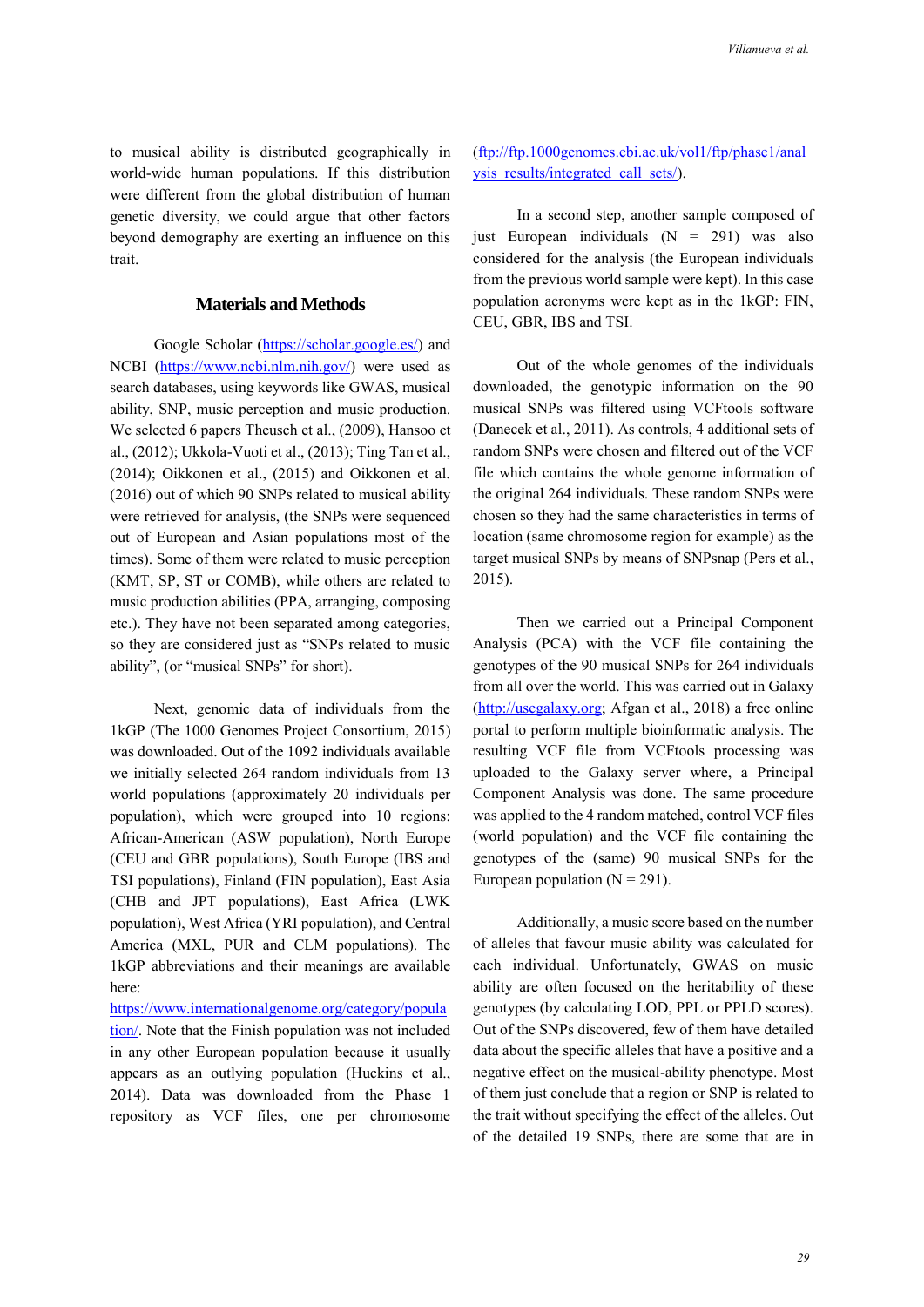to musical ability is distributed geographically in world-wide human populations. If this distribution were different from the global distribution of human genetic diversity, we could argue that other factors beyond demography are exerting an influence on this trait.

### **Materials and Methods**

Google Scholar [\(https://scholar.google.es/\)](https://scholar.google.es/) and NCBI [\(https://www.ncbi.nlm.nih.gov/\)](https://www.ncbi.nlm.nih.gov/) were used as search databases, using keywords like GWAS, musical ability, SNP, music perception and music production. We selected 6 papers Theusch et al., (2009), Hansoo et al., (2012); Ukkola-Vuoti et al., (2013); Ting Tan et al., (2014); Oikkonen et al., (2015) and Oikkonen et al. (2016) out of which 90 SNPs related to musical ability were retrieved for analysis, (the SNPs were sequenced out of European and Asian populations most of the times). Some of them were related to music perception (KMT, SP, ST or COMB), while others are related to music production abilities (PPA, arranging, composing etc.). They have not been separated among categories, so they are considered just as "SNPs related to music ability", (or "musical SNPs" for short).

Next, genomic data of individuals from the 1kGP (The 1000 Genomes Project Consortium, 2015) was downloaded. Out of the 1092 individuals available we initially selected 264 random individuals from 13 world populations (approximately 20 individuals per population), which were grouped into 10 regions: African-American (ASW population), North Europe (CEU and GBR populations), South Europe (IBS and TSI populations), Finland (FIN population), East Asia (CHB and JPT populations), East Africa (LWK population), West Africa (YRI population), and Central America (MXL, PUR and CLM populations). The 1kGP abbreviations and their meanings are available here:

[https://www.internationalgenome.org/category/popula](https://www.internationalgenome.org/category/population/) [tion/.](https://www.internationalgenome.org/category/population/) Note that the Finish population was not included in any other European population because it usually appears as an outlying population (Huckins et al., 2014). Data was downloaded from the Phase 1 repository as VCF files, one per chromosome

### [\(ftp://ftp.1000genomes.ebi.ac.uk/vol1/ftp/phase1/anal](ftp://ftp.1000genomes.ebi.ac.uk/vol1/ftp/phase1/analysis_results/integrated_call_sets/) [ysis\\_results/integrated\\_call\\_sets/\)](ftp://ftp.1000genomes.ebi.ac.uk/vol1/ftp/phase1/analysis_results/integrated_call_sets/).

In a second step, another sample composed of just European individuals  $(N = 291)$  was also considered for the analysis (the European individuals from the previous world sample were kept). In this case population acronyms were kept as in the 1kGP: FIN, CEU, GBR, IBS and TSI.

Out of the whole genomes of the individuals downloaded, the genotypic information on the 90 musical SNPs was filtered using VCFtools software (Danecek et al., 2011). As controls, 4 additional sets of random SNPs were chosen and filtered out of the VCF file which contains the whole genome information of the original 264 individuals. These random SNPs were chosen so they had the same characteristics in terms of location (same chromosome region for example) as the target musical SNPs by means of SNPsnap (Pers et al., 2015).

Then we carried out a Principal Component Analysis (PCA) with the VCF file containing the genotypes of the 90 musical SNPs for 264 individuals from all over the world. This was carried out in Galaxy [\(http://usegalaxy.org;](http://usegalaxy.org/) Afgan et al., 2018) a free online portal to perform multiple bioinformatic analysis. The resulting VCF file from VCFtools processing was uploaded to the Galaxy server where, a Principal Component Analysis was done. The same procedure was applied to the 4 random matched, control VCF files (world population) and the VCF file containing the genotypes of the (same) 90 musical SNPs for the European population  $(N = 291)$ .

Additionally, a music score based on the number of alleles that favour music ability was calculated for each individual. Unfortunately, GWAS on music ability are often focused on the heritability of these genotypes (by calculating LOD, PPL or PPLD scores). Out of the SNPs discovered, few of them have detailed data about the specific alleles that have a positive and a negative effect on the musical-ability phenotype. Most of them just conclude that a region or SNP is related to the trait without specifying the effect of the alleles. Out of the detailed 19 SNPs, there are some that are in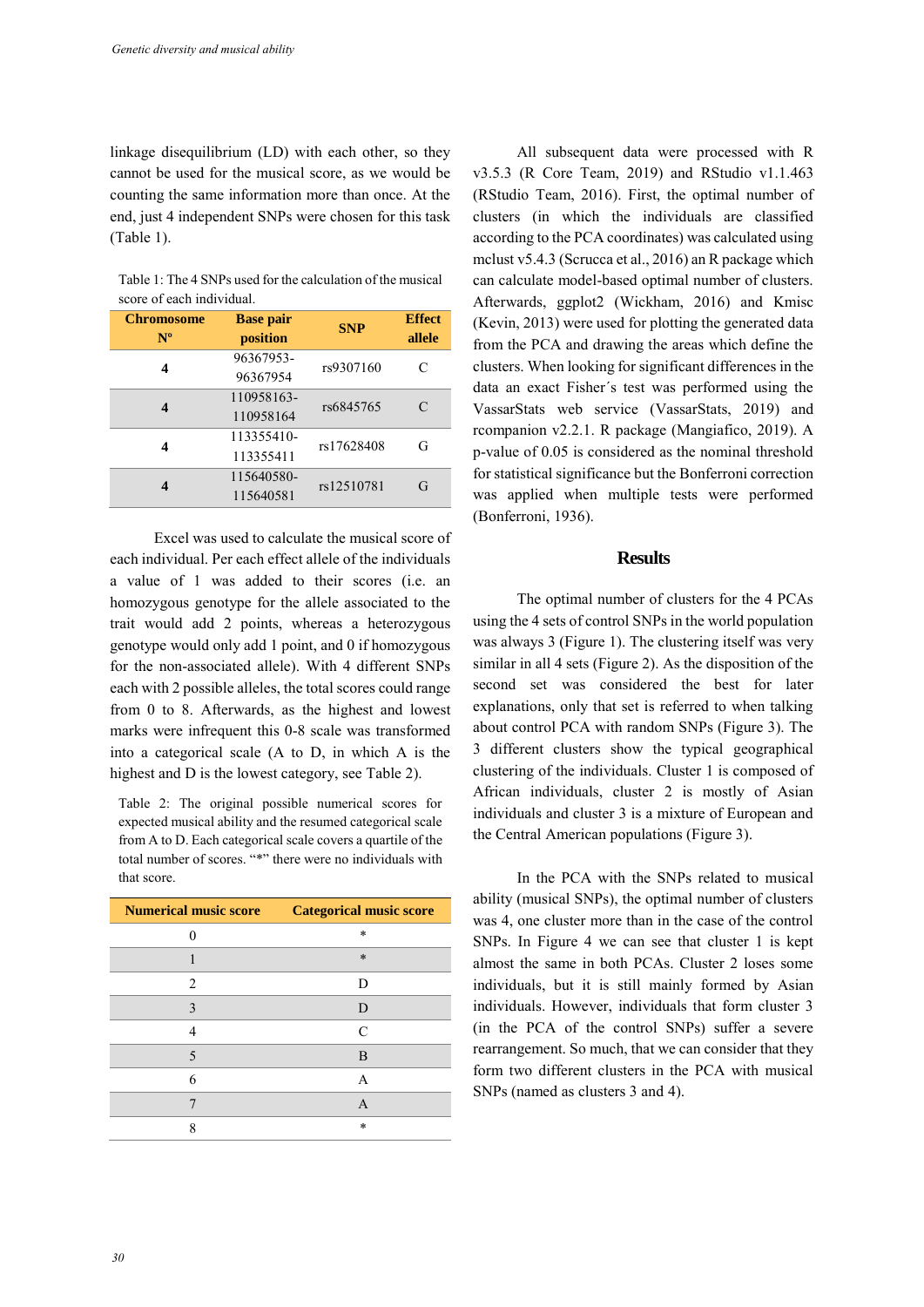linkage disequilibrium (LD) with each other, so they cannot be used for the musical score, as we would be counting the same information more than once. At the end, just 4 independent SNPs were chosen for this task (Table 1).

Table 1: The 4 SNPs used for the calculation of the musical score of each individual.

| <b>Chromosome</b><br>$N^{\rm o}$ | <b>Base pair</b><br>position | <b>SNP</b> | <b>Effect</b><br>allele |
|----------------------------------|------------------------------|------------|-------------------------|
| 4                                | 96367953-<br>96367954        | rs9307160  | C                       |
| 4                                | 110958163-<br>110958164      | rs6845765  | $\subset$               |
| 4                                | 113355410-<br>113355411      | rs17628408 | G                       |
| 4                                | 115640580-<br>115640581      | rs12510781 | G                       |

Excel was used to calculate the musical score of each individual. Per each effect allele of the individuals a value of 1 was added to their scores (i.e. an homozygous genotype for the allele associated to the trait would add 2 points, whereas a heterozygous genotype would only add 1 point, and 0 if homozygous for the non-associated allele). With 4 different SNPs each with 2 possible alleles, the total scores could range from 0 to 8. Afterwards, as the highest and lowest marks were infrequent this 0-8 scale was transformed into a categorical scale (A to D, in which A is the highest and D is the lowest category, see Table 2).

Table 2: The original possible numerical scores for expected musical ability and the resumed categorical scale from A to D. Each categorical scale covers a quartile of the total number of scores. "\*" there were no individuals with that score.

| <b>Numerical music score</b> | <b>Categorical music score</b> |
|------------------------------|--------------------------------|
|                              | $\ast$                         |
|                              | $\ast$                         |
| 2                            | D                              |
| 3                            | D                              |
|                              | $\Gamma$                       |
| 5                            | B                              |
| 6                            | A                              |
|                              | A                              |
| o                            | $\ast$                         |

All subsequent data were processed with R v3.5.3 (R Core Team, 2019) and RStudio v1.1.463 (RStudio Team, 2016). First, the optimal number of clusters (in which the individuals are classified according to the PCA coordinates) was calculated using mclust v5.4.3 (Scrucca et al., 2016) an R package which can calculate model-based optimal number of clusters. Afterwards, ggplot2 (Wickham, 2016) and Kmisc (Kevin, 2013) were used for plotting the generated data from the PCA and drawing the areas which define the clusters. When looking for significant differences in the data an exact Fisher´s test was performed using the VassarStats web service (VassarStats, 2019) and rcompanion v2.2.1. R package (Mangiafico, 2019). A p-value of 0.05 is considered as the nominal threshold for statistical significance but the Bonferroni correction was applied when multiple tests were performed (Bonferroni, 1936).

### **Results**

The optimal number of clusters for the 4 PCAs using the 4 sets of control SNPs in the world population was always 3 (Figure 1). The clustering itself was very similar in all 4 sets (Figure 2). As the disposition of the second set was considered the best for later explanations, only that set is referred to when talking about control PCA with random SNPs (Figure 3). The 3 different clusters show the typical geographical clustering of the individuals. Cluster 1 is composed of African individuals, cluster 2 is mostly of Asian individuals and cluster 3 is a mixture of European and the Central American populations (Figure 3).

In the PCA with the SNPs related to musical ability (musical SNPs), the optimal number of clusters was 4, one cluster more than in the case of the control SNPs. In Figure 4 we can see that cluster 1 is kept almost the same in both PCAs. Cluster 2 loses some individuals, but it is still mainly formed by Asian individuals. However, individuals that form cluster 3 (in the PCA of the control SNPs) suffer a severe rearrangement. So much, that we can consider that they form two different clusters in the PCA with musical SNPs (named as clusters 3 and 4).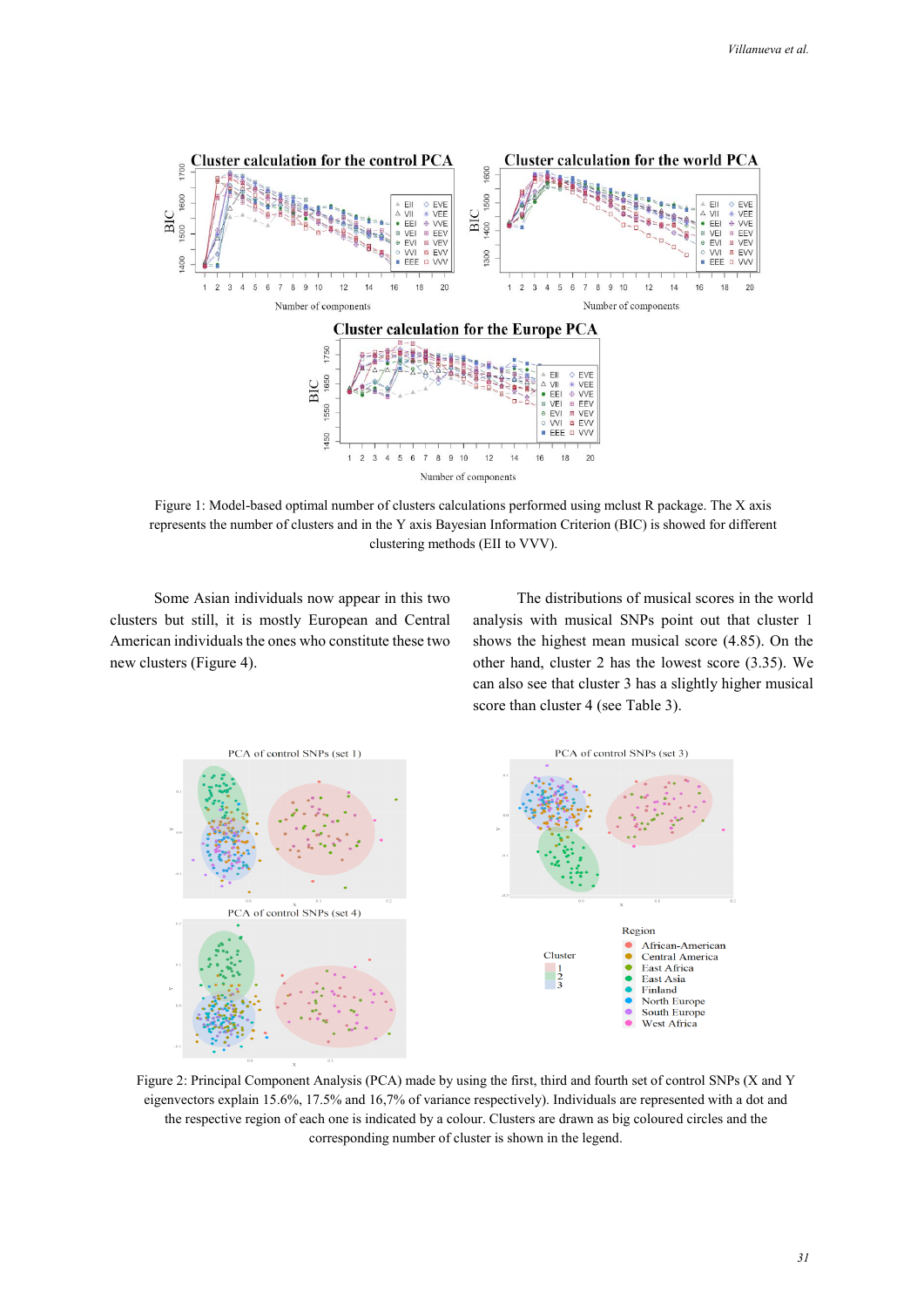

Figure 1: Model-based optimal number of clusters calculations performed using mclust R package. The X axis represents the number of clusters and in the Y axis Bayesian Information Criterion (BIC) is showed for different clustering methods (EII to VVV).

Some Asian individuals now appear in this two clusters but still, it is mostly European and Central American individuals the ones who constitute these two new clusters (Figure 4).

The distributions of musical scores in the world analysis with musical SNPs point out that cluster 1 shows the highest mean musical score (4.85). On the other hand, cluster 2 has the lowest score (3.35). We can also see that cluster 3 has a slightly higher musical score than cluster 4 (see Table 3).



Figure 2: Principal Component Analysis (PCA) made by using the first, third and fourth set of control SNPs (X and Y eigenvectors explain 15.6%, 17.5% and 16,7% of variance respectively). Individuals are represented with a dot and the respective region of each one is indicated by a colour. Clusters are drawn as big coloured circles and the corresponding number of cluster is shown in the legend.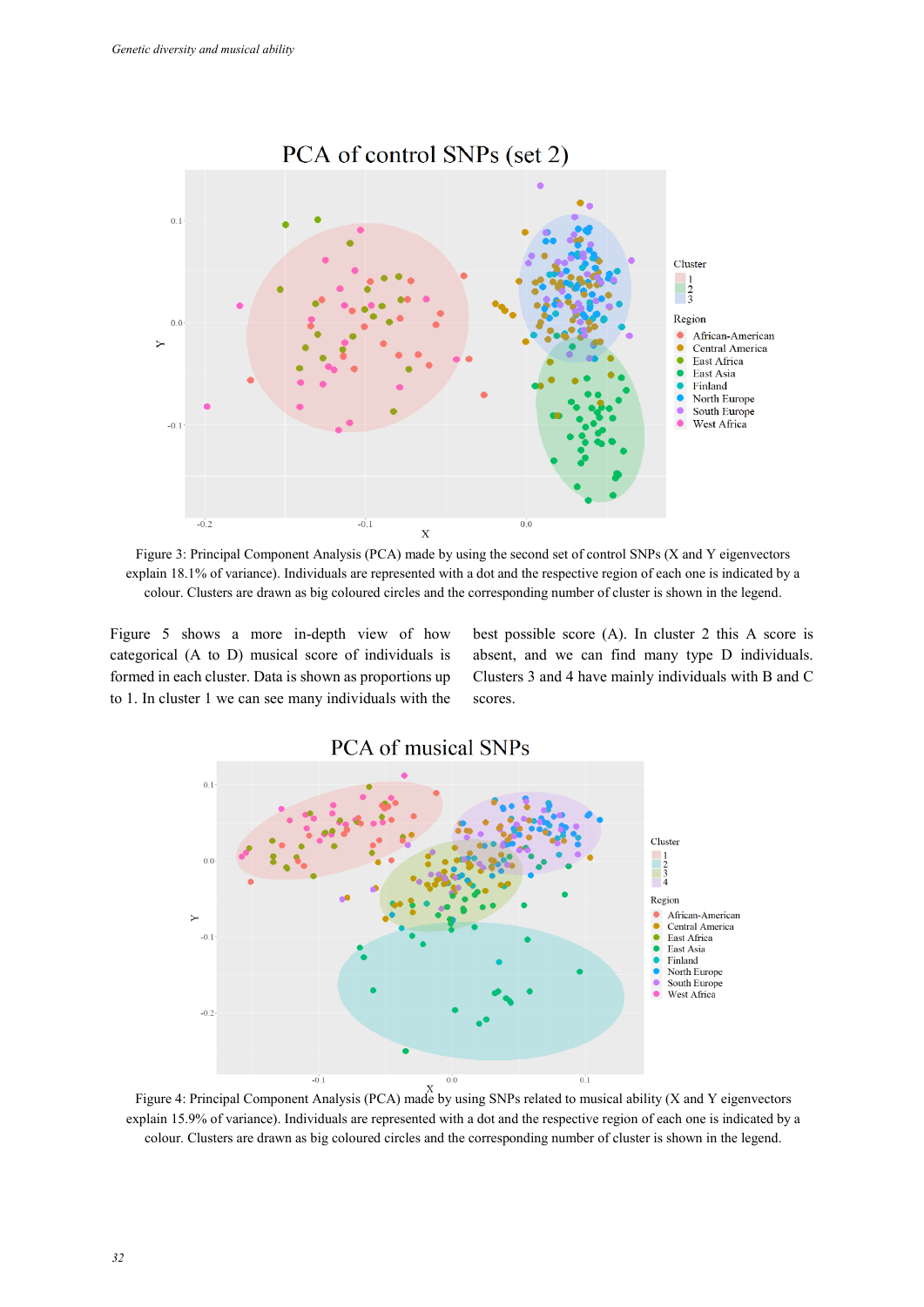

Figure 3: Principal Component Analysis (PCA) made by using the second set of control SNPs (X and Y eigenvectors explain 18.1% of variance). Individuals are represented with a dot and the respective region of each one is indicated by a colour. Clusters are drawn as big coloured circles and the corresponding number of cluster is shown in the legend.

Figure 5 shows a more in-depth view of how categorical (A to D) musical score of individuals is formed in each cluster. Data is shown as proportions up to 1. In cluster 1 we can see many individuals with the best possible score (A). In cluster 2 this A score is absent, and we can find many type D individuals. Clusters 3 and 4 have mainly individuals with B and C scores.



Figure 4: Principal Component Analysis (PCA) made by using SNPs related to musical ability (X and Y eigenvectors explain 15.9% of variance). Individuals are represented with a dot and the respective region of each one is indicated by a colour. Clusters are drawn as big coloured circles and the corresponding number of cluster is shown in the legend.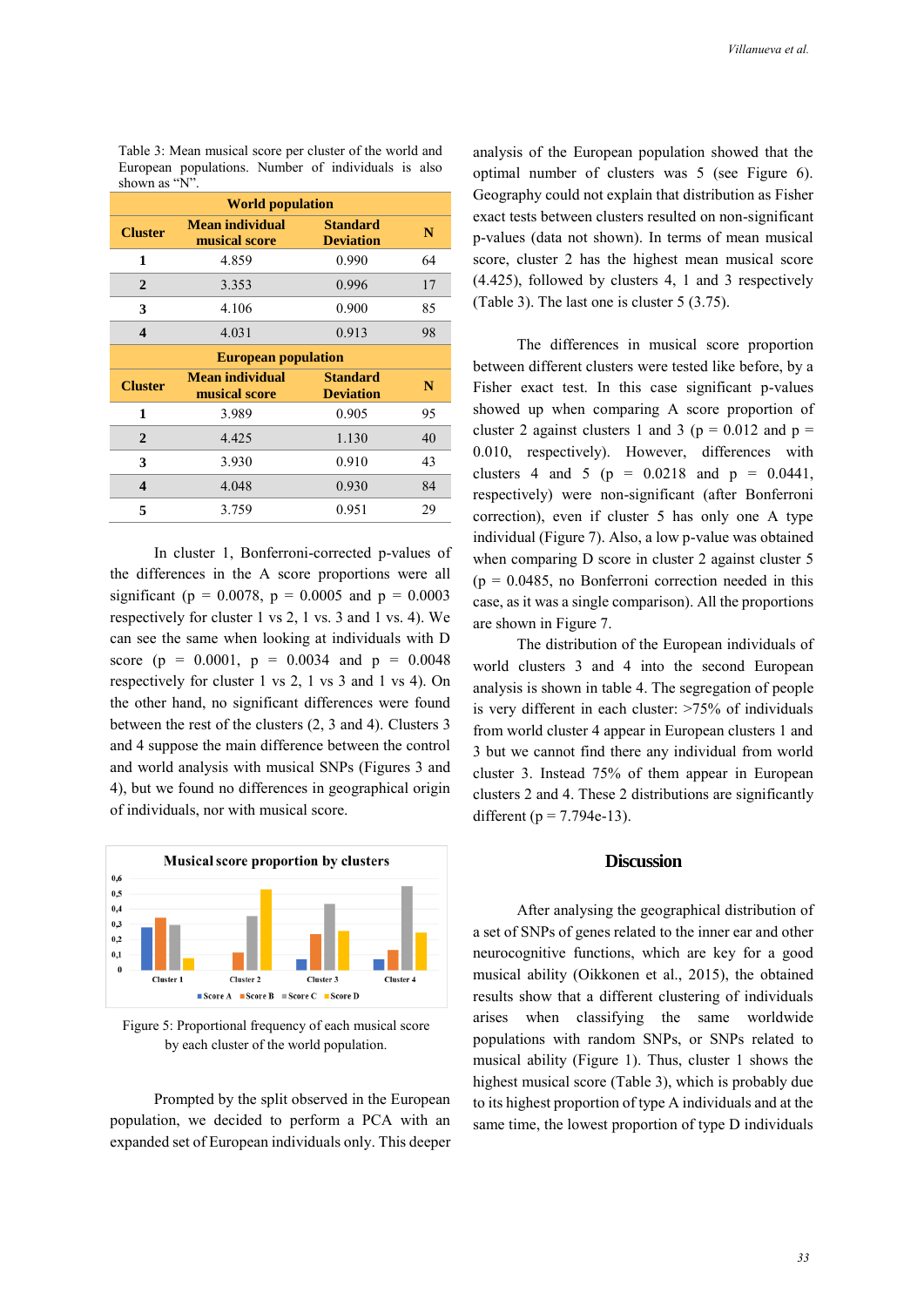| <b>World population</b>    |                                         |                                     |    |  |  |  |
|----------------------------|-----------------------------------------|-------------------------------------|----|--|--|--|
| <b>Cluster</b>             | <b>Mean individual</b><br>musical score | <b>Standard</b><br><b>Deviation</b> | N  |  |  |  |
| 1                          | 4.859                                   | 0.990                               | 64 |  |  |  |
| $\mathbf{2}$               | 3.353                                   | 0.996                               | 17 |  |  |  |
| 3                          | 4.106                                   | 0.900                               | 85 |  |  |  |
| $\boldsymbol{4}$           | 4.031                                   | 0.913                               | 98 |  |  |  |
| <b>European population</b> |                                         |                                     |    |  |  |  |
|                            |                                         |                                     |    |  |  |  |
| <b>Cluster</b>             | <b>Mean individual</b><br>musical score | <b>Standard</b><br><b>Deviation</b> | N  |  |  |  |
| 1                          | 3.989                                   | 0.905                               | 95 |  |  |  |
| $\mathbf{2}$               | 4.425                                   | 1.130                               | 40 |  |  |  |
| 3                          | 3.930                                   | 0.910                               | 43 |  |  |  |
| 4                          | 4.048                                   | 0.930                               | 84 |  |  |  |

Table 3: Mean musical score per cluster of the world and European populations. Number of individuals is also shown as "N"<sub>1</sub>

In cluster 1, Bonferroni-corrected p-values of the differences in the A score proportions were all significant ( $p = 0.0078$ ,  $p = 0.0005$  and  $p = 0.0003$ respectively for cluster 1 vs 2, 1 vs. 3 and 1 vs. 4). We can see the same when looking at individuals with D score (p =  $0.0001$ , p =  $0.0034$  and p =  $0.0048$ respectively for cluster 1 vs 2, 1 vs 3 and 1 vs 4). On the other hand, no significant differences were found between the rest of the clusters (2, 3 and 4). Clusters 3 and 4 suppose the main difference between the control and world analysis with musical SNPs (Figures 3 and 4), but we found no differences in geographical origin of individuals, nor with musical score.



Figure 5: Proportional frequency of each musical score by each cluster of the world population.

Prompted by the split observed in the European population, we decided to perform a PCA with an expanded set of European individuals only. This deeper

analysis of the European population showed that the optimal number of clusters was 5 (see Figure 6). Geography could not explain that distribution as Fisher exact tests between clusters resulted on non-significant p-values (data not shown). In terms of mean musical score, cluster 2 has the highest mean musical score (4.425), followed by clusters 4, 1 and 3 respectively (Table 3). The last one is cluster 5 (3.75).

The differences in musical score proportion between different clusters were tested like before, by a Fisher exact test. In this case significant p-values showed up when comparing A score proportion of cluster 2 against clusters 1 and 3 ( $p = 0.012$  and  $p =$ 0.010, respectively). However, differences with clusters 4 and 5 ( $p = 0.0218$  and  $p = 0.0441$ , respectively) were non-significant (after Bonferroni correction), even if cluster 5 has only one A type individual (Figure 7). Also, a low p-value was obtained when comparing D score in cluster 2 against cluster 5  $(p = 0.0485,$  no Bonferroni correction needed in this case, as it was a single comparison). All the proportions are shown in Figure 7.

The distribution of the European individuals of world clusters 3 and 4 into the second European analysis is shown in table 4. The segregation of people is very different in each cluster: >75% of individuals from world cluster 4 appear in European clusters 1 and 3 but we cannot find there any individual from world cluster 3. Instead 75% of them appear in European clusters 2 and 4. These 2 distributions are significantly different ( $p = 7.794e-13$ ).

### **Discussion**

After analysing the geographical distribution of a set of SNPs of genes related to the inner ear and other neurocognitive functions, which are key for a good musical ability (Oikkonen et al., 2015), the obtained results show that a different clustering of individuals arises when classifying the same worldwide populations with random SNPs, or SNPs related to musical ability (Figure 1). Thus, cluster 1 shows the highest musical score (Table 3), which is probably due to its highest proportion of type A individuals and at the same time, the lowest proportion of type D individuals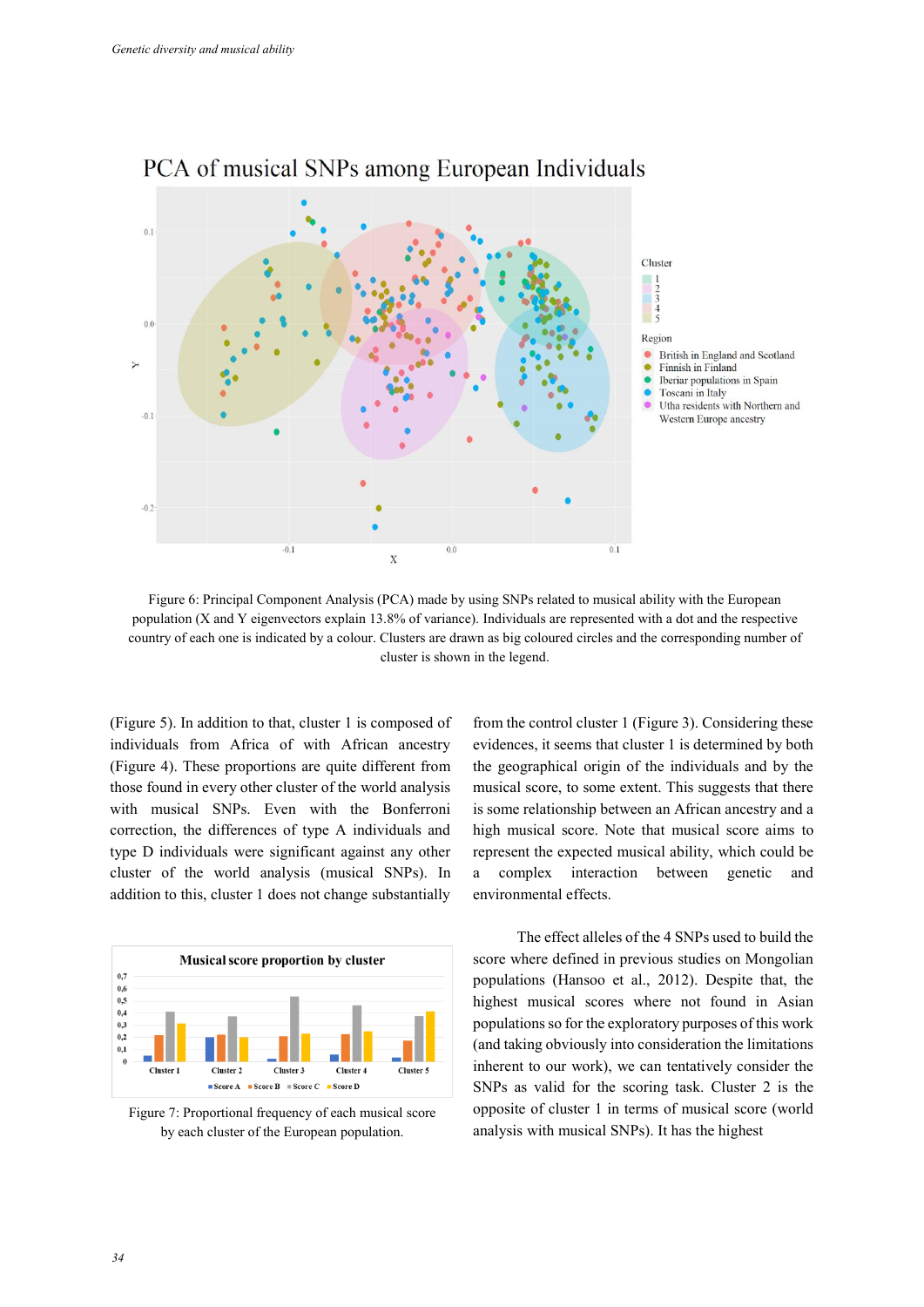

## PCA of musical SNPs among European Individuals

Figure 6: Principal Component Analysis (PCA) made by using SNPs related to musical ability with the European population (X and Y eigenvectors explain 13.8% of variance). Individuals are represented with a dot and the respective country of each one is indicated by a colour. Clusters are drawn as big coloured circles and the corresponding number of cluster is shown in the legend.

(Figure 5). In addition to that, cluster 1 is composed of individuals from Africa of with African ancestry (Figure 4). These proportions are quite different from those found in every other cluster of the world analysis with musical SNPs. Even with the Bonferroni correction, the differences of type A individuals and type D individuals were significant against any other cluster of the world analysis (musical SNPs). In addition to this, cluster 1 does not change substantially



Figure 7: Proportional frequency of each musical score by each cluster of the European population.

from the control cluster 1 (Figure 3). Considering these evidences, it seems that cluster 1 is determined by both the geographical origin of the individuals and by the musical score, to some extent. This suggests that there is some relationship between an African ancestry and a high musical score. Note that musical score aims to represent the expected musical ability, which could be a complex interaction between genetic and environmental effects.

The effect alleles of the 4 SNPs used to build the score where defined in previous studies on Mongolian populations (Hansoo et al., 2012). Despite that, the highest musical scores where not found in Asian populations so for the exploratory purposes of this work (and taking obviously into consideration the limitations inherent to our work), we can tentatively consider the SNPs as valid for the scoring task. Cluster 2 is the opposite of cluster 1 in terms of musical score (world analysis with musical SNPs). It has the highest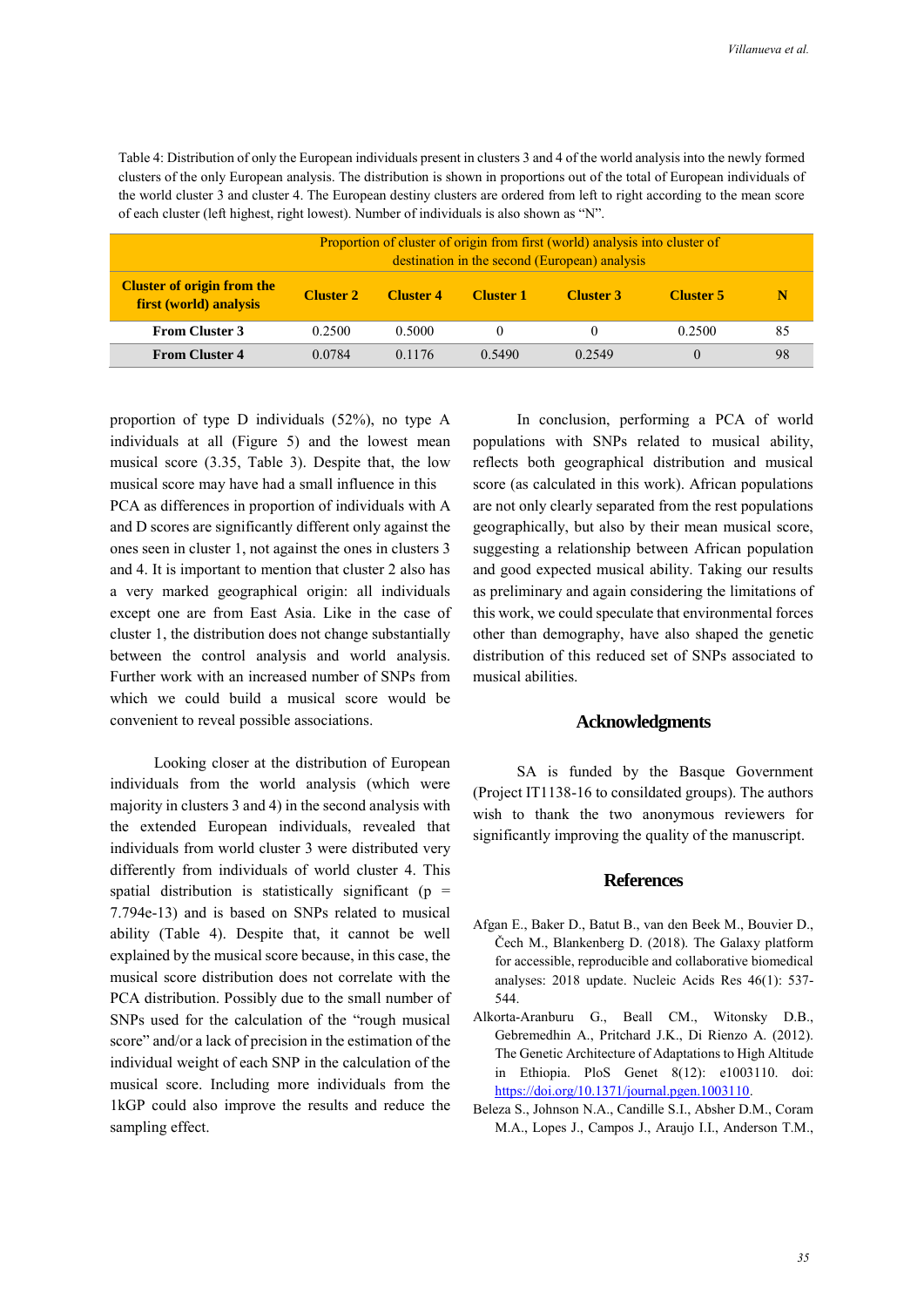Table 4: Distribution of only the European individuals present in clusters 3 and 4 of the world analysis into the newly formed clusters of the only European analysis. The distribution is shown in proportions out of the total of European individuals of the world cluster 3 and cluster 4. The European destiny clusters are ordered from left to right according to the mean score of each cluster (left highest, right lowest). Number of individuals is also shown as "N".

|                                                             | Proportion of cluster of origin from first (world) analysis into cluster of<br>destination in the second (European) analysis |                  |                  |                  |                  |    |
|-------------------------------------------------------------|------------------------------------------------------------------------------------------------------------------------------|------------------|------------------|------------------|------------------|----|
| <b>Cluster of origin from the</b><br>first (world) analysis | <b>Cluster 2</b>                                                                                                             | <b>Cluster 4</b> | <b>Cluster 1</b> | <b>Cluster 3</b> | <b>Cluster 5</b> |    |
| <b>From Cluster 3</b>                                       | 0.2500                                                                                                                       | 0.5000           |                  |                  | 0.2500           | 85 |
| <b>From Cluster 4</b>                                       | 0.0784                                                                                                                       | 0.1176           | 0.5490           | 0.2549           | $\theta$         | 98 |

proportion of type D individuals (52%), no type A individuals at all (Figure 5) and the lowest mean musical score (3.35, Table 3). Despite that, the low musical score may have had a small influence in this PCA as differences in proportion of individuals with A and D scores are significantly different only against the ones seen in cluster 1, not against the ones in clusters 3 and 4. It is important to mention that cluster 2 also has a very marked geographical origin: all individuals except one are from East Asia. Like in the case of cluster 1, the distribution does not change substantially between the control analysis and world analysis. Further work with an increased number of SNPs from which we could build a musical score would be convenient to reveal possible associations.

Looking closer at the distribution of European individuals from the world analysis (which were majority in clusters 3 and 4) in the second analysis with the extended European individuals, revealed that individuals from world cluster 3 were distributed very differently from individuals of world cluster 4. This spatial distribution is statistically significant ( $p =$ 7.794e-13) and is based on SNPs related to musical ability (Table 4). Despite that, it cannot be well explained by the musical score because, in this case, the musical score distribution does not correlate with the PCA distribution. Possibly due to the small number of SNPs used for the calculation of the "rough musical score" and/or a lack of precision in the estimation of the individual weight of each SNP in the calculation of the musical score. Including more individuals from the 1kGP could also improve the results and reduce the sampling effect.

In conclusion, performing a PCA of world populations with SNPs related to musical ability, reflects both geographical distribution and musical score (as calculated in this work). African populations are not only clearly separated from the rest populations geographically, but also by their mean musical score, suggesting a relationship between African population and good expected musical ability. Taking our results as preliminary and again considering the limitations of this work, we could speculate that environmental forces other than demography, have also shaped the genetic distribution of this reduced set of SNPs associated to musical abilities.

### **Acknowledgments**

SA is funded by the Basque Government (Project IT1138-16 to consildated groups). The authors wish to thank the two anonymous reviewers for significantly improving the quality of the manuscript.

### **References**

- Afgan E., Baker D., Batut B., van den Beek M., Bouvier D., Čech M., Blankenberg D. (2018). The Galaxy platform for accessible, reproducible and collaborative biomedical analyses: 2018 update. Nucleic Acids Res 46(1): 537- 544.
- Alkorta-Aranburu G., Beall CM., Witonsky D.B., Gebremedhin A., Pritchard J.K., Di Rienzo A. (2012). The Genetic Architecture of Adaptations to High Altitude in Ethiopia. PloS Genet 8(12): e1003110. doi: [https://doi.org/10.1371/journal.pgen.1003110.](https://doi.org/10.1371/journal.pgen.1003110)
- Beleza S., Johnson N.A., Candille S.I., Absher D.M., Coram M.A., Lopes J., Campos J., Araujo I.I., Anderson T.M.,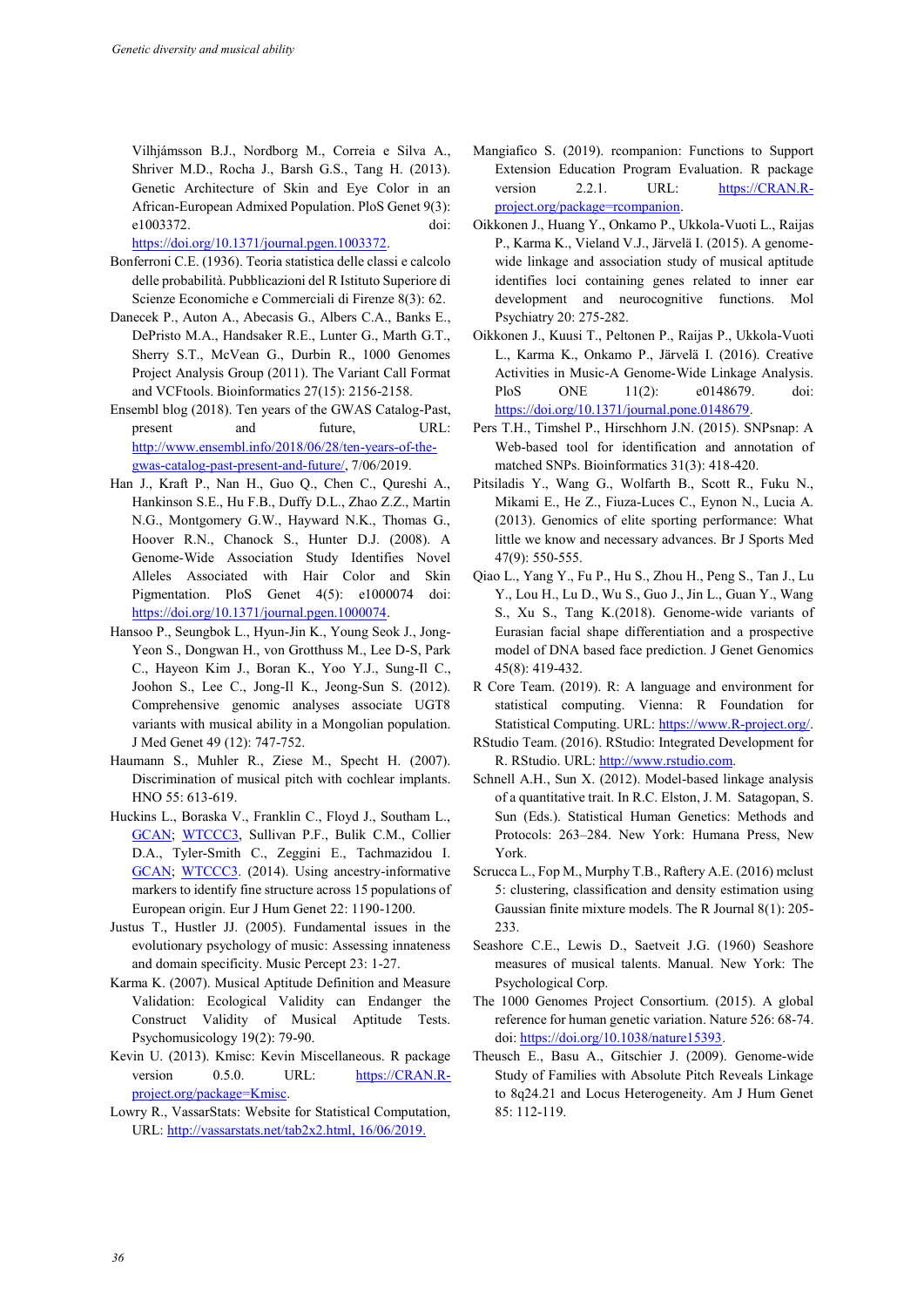Vilhjámsson B.J., Nordborg M., Correia e Silva A., Shriver M.D., Rocha J., Barsh G.S., Tang H. (2013). Genetic Architecture of Skin and Eye Color in an African-European Admixed Population. PloS Genet 9(3): e1003372. doi:

[https://doi.org/10.1371/journal.pgen.1003372.](https://doi.org/10.1371/journal.pgen.1003372)

- Bonferroni C.E. (1936). Teoria statistica delle classi e calcolo delle probabilità. Pubblicazioni del R Istituto Superiore di Scienze Economiche e Commerciali di Firenze 8(3): 62.
- Danecek P., Auton A., Abecasis G., Albers C.A., Banks E., DePristo M.A., Handsaker R.E., Lunter G., Marth G.T., Sherry S.T., McVean G., Durbin R., 1000 Genomes Project Analysis Group (2011). The Variant Call Format and VCFtools. Bioinformatics 27(15): 2156-2158.
- Ensembl blog (2018). Ten years of the GWAS Catalog-Past, present and future, URL: [http://www.ensembl.info/2018/06/28/ten-years-of-the](http://www.ensembl.info/2018/06/28/ten-years-of-the-gwas-catalog-past-present-and-future/)[gwas-catalog-past-present-and-future/,](http://www.ensembl.info/2018/06/28/ten-years-of-the-gwas-catalog-past-present-and-future/) 7/06/2019.
- Han J., Kraft P., Nan H., Guo Q., Chen C., Qureshi A., Hankinson S.E., Hu F.B., Duffy D.L., Zhao Z.Z., Martin N.G., Montgomery G.W., Hayward N.K., Thomas G., Hoover R.N., Chanock S., Hunter D.J. (2008). A Genome-Wide Association Study Identifies Novel Alleles Associated with Hair Color and Skin Pigmentation. PloS Genet 4(5): e1000074 doi: [https://doi.org/10.1371/journal.pgen.1000074.](https://doi.org/10.1371/journal.pgen.1000074)
- Hansoo P., Seungbok L., Hyun-Jin K., Young Seok J., Jong-Yeon S., Dongwan H., von Grotthuss M., Lee D-S, Park C., Hayeon Kim J., Boran K., Yoo Y.J., Sung-Il C., Joohon S., Lee C., Jong-Il K., Jeong-Sun S. (2012). Comprehensive genomic analyses associate UGT8 variants with musical ability in a Mongolian population. J Med Genet 49 (12): 747-752.
- Haumann S., Muhler R., Ziese M., Specht H. (2007). Discrimination of musical pitch with cochlear implants. HNO 55: 613-619.
- Huckins L., Boraska V., Franklin C., Floyd J., Southam L., [GCAN;](https://www.ncbi.nlm.nih.gov/pubmed/?term=GCAN%5BCorporate%20Author%5D) [WTCCC3,](https://www.ncbi.nlm.nih.gov/pubmed/?term=WTCCC3%5BCorporate%20Author%5D) Sullivan P.F., Bulik C.M., Collier D.A., Tyler-Smith C., Zeggini E., Tachmazidou I. [GCAN;](https://www.ncbi.nlm.nih.gov/pubmed/?term=GCAN%5BCorporate%20Author%5D) [WTCCC3.](https://www.ncbi.nlm.nih.gov/pubmed/?term=WTCCC3%5BCorporate%20Author%5D) (2014). Using ancestry-informative markers to identify fine structure across 15 populations of European origin. Eur J Hum Genet 22: 1190-1200.
- Justus T., Hustler JJ. (2005). Fundamental issues in the evolutionary psychology of music: Assessing innateness and domain specificity. Music Percept 23: 1-27.
- Karma K. (2007). Musical Aptitude Definition and Measure Validation: Ecological Validity can Endanger the Construct Validity of Musical Aptitude Tests. Psychomusicology 19(2): 79-90.
- Kevin U. (2013). Kmisc: Kevin Miscellaneous. R package version 0.5.0. URL: [https://CRAN.R](https://cran.r-project.org/package=Kmisc)[project.org/package=Kmisc.](https://cran.r-project.org/package=Kmisc)
- Lowry R., VassarStats: Website for Statistical Computation, URL: [http://vassarstats.net/tab2x2.html,](http://vassarstats.net/tab2x2.html) 16/06/2019.
- Mangiafico S. (2019). rcompanion: Functions to Support Extension Education Program Evaluation. R package version 2.2.1. URL: [https://CRAN.R](https://cran.r-project.org/package=rcompanion)[project.org/package=rcompanion.](https://cran.r-project.org/package=rcompanion)
- Oikkonen J., Huang Y., Onkamo P., Ukkola-Vuoti L., Raijas P., Karma K., Vieland V.J., Järvelä I. (2015). A genomewide linkage and association study of musical aptitude identifies loci containing genes related to inner ear development and neurocognitive functions. Mol Psychiatry 20: 275-282.
- Oikkonen J., Kuusi T., Peltonen P., Raijas P., Ukkola-Vuoti L., Karma K., Onkamo P., Järvelä I. (2016). Creative Activities in Music-A Genome-Wide Linkage Analysis. PloS ONE 11(2): e0148679. doi: [https://doi.org/10.1371/journal.pone.0148679.](https://doi.org/10.1371/journal.pone.0148679)
- Pers T.H., Timshel P., Hirschhorn J.N. (2015). SNPsnap: A Web-based tool for identification and annotation of matched SNPs. Bioinformatics 31(3): 418-420.
- Pitsiladis Y., Wang G., Wolfarth B., Scott R., Fuku N., Mikami E., He Z., Fiuza-Luces C., Eynon N., Lucia A. (2013). Genomics of elite sporting performance: What little we know and necessary advances. Br J Sports Med 47(9): 550-555.
- Qiao L., Yang Y., Fu P., Hu S., Zhou H., Peng S., Tan J., Lu Y., Lou H., Lu D., Wu S., Guo J., Jin L., Guan Y., Wang S., Xu S., Tang K.(2018). Genome-wide variants of Eurasian facial shape differentiation and a prospective model of DNA based face prediction. J Genet Genomics 45(8): 419-432.
- R Core Team. (2019). R: A language and environment for statistical computing. Vienna: R Foundation for Statistical Computing. URL[: https://www.R-project.org/.](https://www.r-project.org/)
- RStudio Team. (2016). RStudio: Integrated Development for R. RStudio. URL: [http://www.rstudio.com.](http://www.rstudio.com/)
- Schnell A.H., Sun X. (2012). Model-based linkage analysis of a quantitative trait. In R.C. Elston, J. M. Satagopan, S. Sun (Eds.). Statistical Human Genetics: Methods and Protocols: 263–284. New York: Humana Press, New York.
- Scrucca L., Fop M., Murphy T.B., Raftery A.E. (2016) mclust 5: clustering, classification and density estimation using Gaussian finite mixture models. The R Journal 8(1): 205- 233.
- Seashore C.E., Lewis D., Saetveit J.G. (1960) Seashore measures of musical talents. Manual. New York: The Psychological Corp.
- The 1000 Genomes Project Consortium. (2015). A global reference for human genetic variation. Nature 526: 68-74. doi: [https://doi.org/10.1038/nature15393.](https://doi.org/10.1038/nature15393)
- Theusch E., Basu A., Gitschier J. (2009). Genome-wide Study of Families with Absolute Pitch Reveals Linkage to 8q24.21 and Locus Heterogeneity. Am J Hum Genet 85: 112-119.